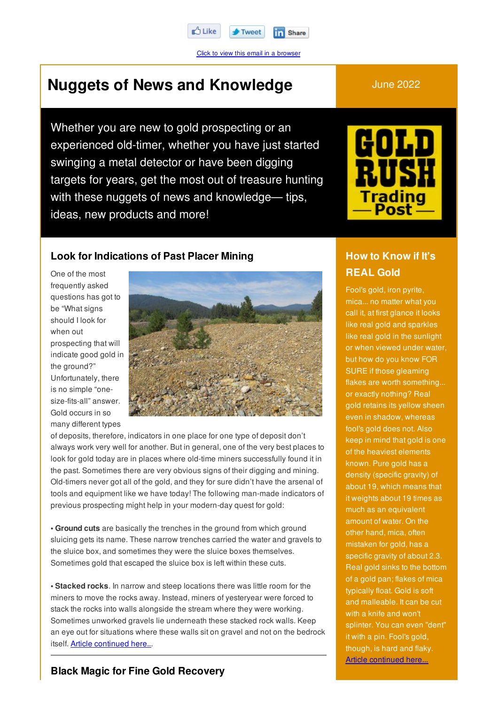Click to view this email in a browser

Tweet

**in** Share

# **Nuggets of News and Knowledge** June 2022

Whether you are new to gold prospecting or an experienced old-timer, whether you have just started swinging a metal detector or have been digging targets for years, get the most out of treasure hunting with these nuggets of news and knowledge— tips, ideas, new products and more!

r∆ Like



#### **Look for Indications of Past Placer Mining**

One of the most frequently asked questions has got to be "What signs should I look for when out prospecting that will indicate good gold in the ground?" Unfortunately, there is no simple "onesize-fits-all" answer. Gold occurs in so many different types



of deposits, therefore, indicators in one place for one type of deposit don't always work very well for another. But in general, one of the very best places to look for gold today are in places where old-time miners successfully found it in the past. Sometimes there are very obvious signs of their digging and mining. Old-timers never got all of the gold, and they for sure didn't have the arsenal of tools and equipment like we have today! The following man-made indicators of previous prospecting might help in your modern-day quest for gold:

**• Ground cuts** are basically the trenches in the ground from which ground sluicing gets its name. These narrow trenches carried the water and gravels to the sluice box, and sometimes they were the sluice boxes themselves. Sometimes gold that escaped the sluice box is left within these cuts.

**• Stacked rocks**. In narrow and steep locations there was little room for the miners to move the rocks away. Instead, miners of yesteryear were forced to stack the rocks into walls alongside the stream where they were working. Sometimes unworked gravels lie underneath these stacked rock walls. Keep an eye out for situations where these walls sit on gravel and not on the bedrock itself. Article continued here...

# **How to Know if It's REAL Gold**

Fool's gold, iron pyrite, mica... no matter what you call it, at first glance it looks like real gold and sparkles like real gold in the sunlight or when viewed under water, but how do you know FOR SURE if those gleaming flakes are worth something... or exactly nothing? Real gold retains its yellow sheen even in shadow, whereas fool's gold does not. Also keep in mind that gold is one of the heaviest elements known. Pure gold has a density (specific gravity) of about 19, which means that it weights about 19 times as much as an equivalent amount of water. On the other hand, mica, often mistaken for gold, has a specific gravity of about 2.3. Real gold sinks to the bottom of a gold pan; flakes of mica typically float. Gold is soft and malleable. It can be cut with a knife and won't splinter. You can even "dent" it with a pin. Fool's gold, though, is hard and flaky. Article continued here...

#### **Black Magic for Fine Gold Recovery**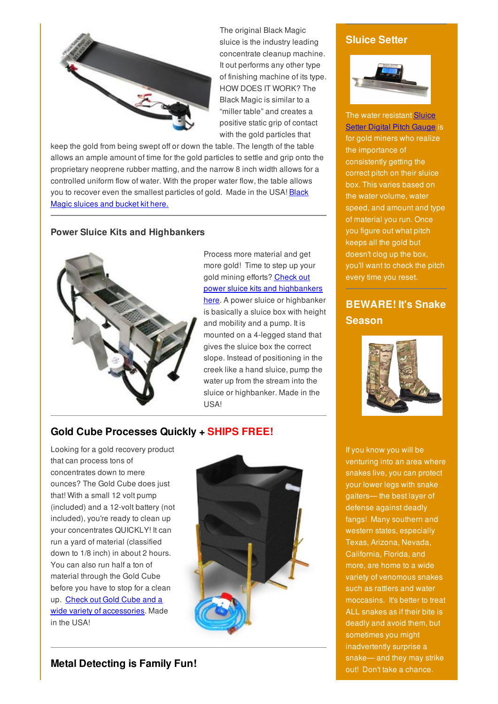

The original Black Magic sluice is the industry leading concentrate cleanup machine. It out performs any other type of finishing machine of its type. HOW DOES IT WORK? The Black Magic is similar to a "miller table" and creates a positive static grip of contact with the gold particles that

keep the gold from being swept off or down the table. The length of the table allows an ample amount of time for the gold particles to settle and grip onto the proprietary neoprene rubber matting, and the narrow 8 inch width allows for a controlled uniform flow of water. With the proper water flow, the table allows you to recover even the smallest particles of gold. Made in the USA! Black Magic sluices and bucket kit here.

#### **Power Sluice Kits and Highbankers**



Process more material and get more gold! Time to step up your gold mining efforts? Check out power sluice kits and highbankers here. A power sluice or highbanker is basically a sluice box with height and mobility and a pump. It is mounted on a 4-legged stand that gives the sluice box the correct slope. Instead of positioning in the creek like a hand sluice, pump the water up from the stream into the sluice or highbanker. Made in the USA!

#### **Gold Cube Processes Quickly + SHIPS FREE!**

Looking for a gold recovery product that can process tons of concentrates down to mere ounces? The Gold Cube does just that! With a small 12 volt pump (included) and a 12-volt battery (not included), you're ready to clean up your concentrates QUICKLY! It can run a yard of material (classified down to 1/8 inch) in about 2 hours. You can also run half a ton of material through the Gold Cube before you have to stop for a clean up. Check out Gold Cube and a wide variety of accessories. Made in the USA!



#### **Metal Detecting is Family Fun!**

#### **Sluice Setter**



The water resistant Sluice **Setter Digital Pitch Gauge is** for gold miners who realize the importance of consistently getting the correct pitch on their sluice box. This varies based on the water volume, water speed, and amount and type of material you run. Once you figure out what pitch keeps all the gold but doesn't clog up the box, you'll want to check the pitch every time you reset.

## **BEWARE! It's Snake Season**



If you know you will be venturing into an area where snakes live, you can protect your lower legs with snake gaiters— the best layer of defense against deadly fangs! Many southern and western states, especially Texas, Arizona, Nevada, California, Florida, and more, are home to a wide variety of venomous snakes such as rattlers and water moccasins. It's better to treat ALL snakes as if their bite is deadly and avoid them, but sometimes you might inadvertently surprise a snake— and they may strike out! Don't take a chance.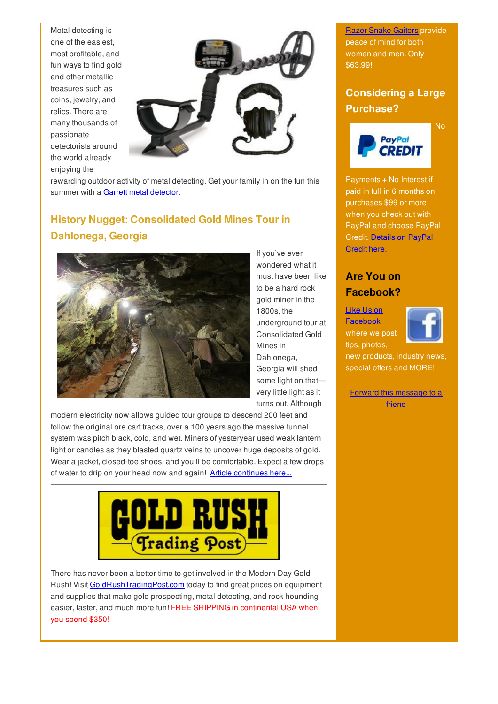Metal detecting is one of the easiest, most profitable, and fun ways to find gold and other metallic treasures such as coins, jewelry, and relics. There are many thousands of passionate detectorists around the world already enjoying the



rewarding outdoor activity of metal detecting. Get your family in on the fun this summer with a Garrett metal detector.

# **History Nugget: Consolidated Gold Mines Tour in Dahlonega, Georgia**



If you've ever wondered what it must have been like to be a hard rock gold miner in the 1800s, the underground tour at Consolidated Gold Mines in Dahlonega, Georgia will shed some light on thatvery little light as it turns out. Although

modern electricity now allows guided tour groups to descend 200 feet and follow the original ore cart tracks, over a 100 years ago the massive tunnel system was pitch black, cold, and wet. Miners of yesteryear used weak lantern light or candles as they blasted quartz veins to uncover huge deposits of gold. Wear a jacket, closed-toe shoes, and you'll be comfortable. Expect a few drops of water to drip on your head now and again! Article continues here...



There has never been a better time to get involved in the Modern Day Gold Rush! Visit GoldRushTradingPost.com today to find great prices on equipment and supplies that make gold prospecting, metal detecting, and rock hounding easier, faster, and much more fun! FREE SHIPPING in continental USA when you spend \$350!

**Razer Snake Gaiters provide** peace of mind for both women and men. Only \$63.99!

# **Considering a Large Purchase?**

No



Payments + No Interest if paid in full in 6 months on purchases \$99 or more when you check out with PayPal and choose PayPal Credit. Details on PayPal Credit here.

### **Are You on Facebook?**

Like Us on **Facebook** where we post tips, photos,



new products, industry news, special offers and MORE!

Forward this message to a friend